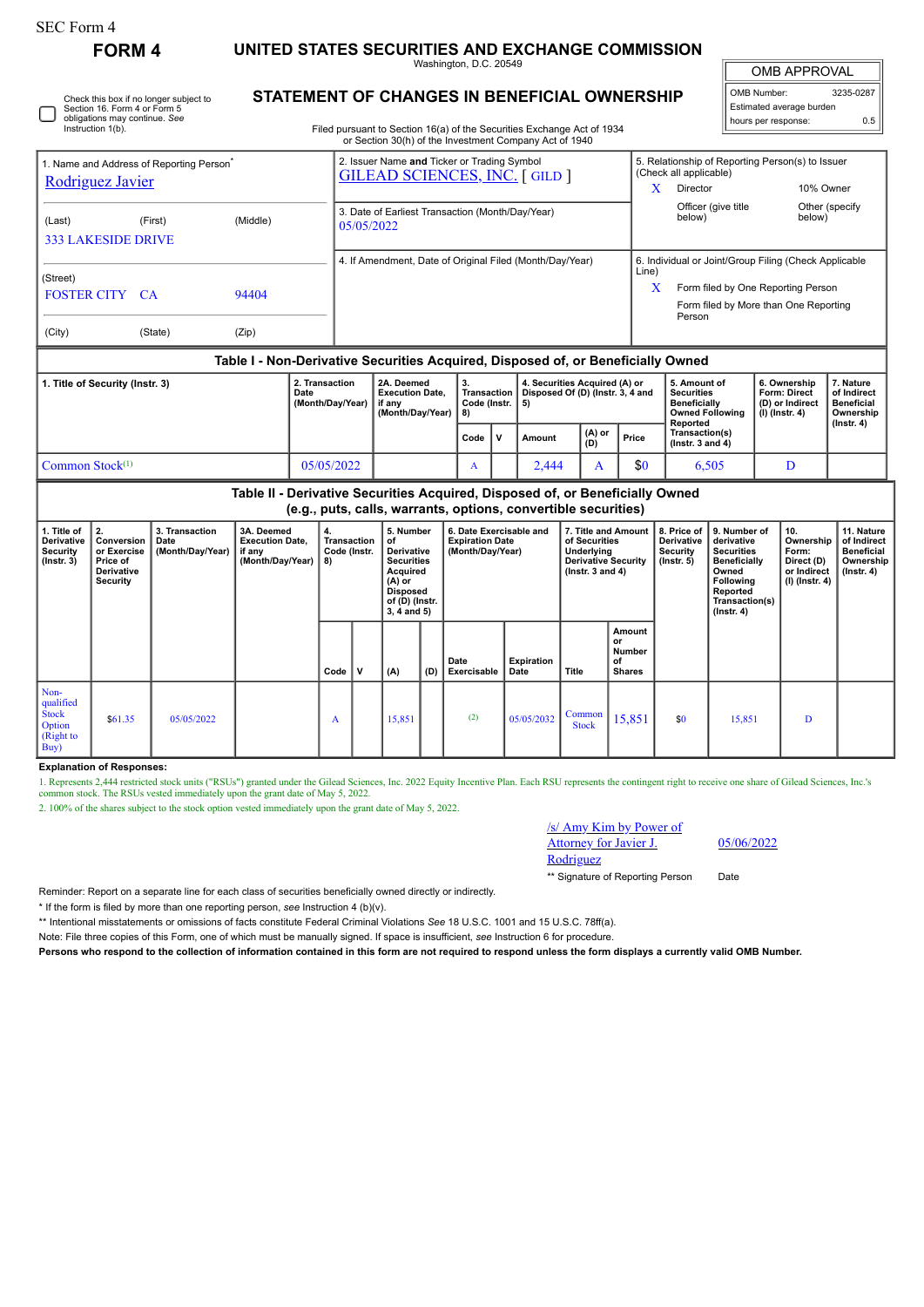L

## **FORM 4 UNITED STATES SECURITIES AND EXCHANGE COMMISSION**

Washington, D.C. 20549

 $\mathbb{I}$ OMB APPROVAL

| OMB Number:              | 3235-0287 |  |  |  |  |  |  |  |  |
|--------------------------|-----------|--|--|--|--|--|--|--|--|
| Estimated average burden |           |  |  |  |  |  |  |  |  |
| hours per response:      | 0.5       |  |  |  |  |  |  |  |  |

Check this box if no longer subject to Section 16. Form 4 or Form 5 obligations may continue. *See* Instruction 1(b).

## **STATEMENT OF CHANGES IN BENEFICIAL OWNERSHIP**

Filed pursuant to Section 16(a) of the Securities Exchange Act of 1934 or Section 30(h) of the Investment Company Act of 1940

| 1. Name and Address of Reporting Person <sup>®</sup><br>Rodriguez Javier                                                                        |                                                          |          | 2. Issuer Name and Ticker or Trading Symbol<br><b>GILEAD SCIENCES, INC. [GILD ]</b> |                                                                |                                                                    |                                                        |              | 5. Relationship of Reporting Person(s) to Issuer<br>(Check all applicable) |                                                       |                                       |                                                                                    |                                                                            |                                                            |  |
|-------------------------------------------------------------------------------------------------------------------------------------------------|----------------------------------------------------------|----------|-------------------------------------------------------------------------------------|----------------------------------------------------------------|--------------------------------------------------------------------|--------------------------------------------------------|--------------|----------------------------------------------------------------------------|-------------------------------------------------------|---------------------------------------|------------------------------------------------------------------------------------|----------------------------------------------------------------------------|------------------------------------------------------------|--|
|                                                                                                                                                 |                                                          |          |                                                                                     |                                                                |                                                                    |                                                        |              | X                                                                          | Director                                              | 10% Owner                             |                                                                                    |                                                                            |                                                            |  |
| (Last)<br><b>333 LAKESIDE DRIVE</b>                                                                                                             | (First)                                                  | (Middle) |                                                                                     | 3. Date of Earliest Transaction (Month/Day/Year)<br>05/05/2022 |                                                                    |                                                        |              |                                                                            |                                                       |                                       | Officer (give title<br>below)                                                      | below)                                                                     | Other (specify                                             |  |
|                                                                                                                                                 | 4. If Amendment, Date of Original Filed (Month/Day/Year) |          |                                                                                     |                                                                |                                                                    |                                                        |              |                                                                            | 6. Individual or Joint/Group Filing (Check Applicable |                                       |                                                                                    |                                                                            |                                                            |  |
| (Street)                                                                                                                                        |                                                          |          |                                                                                     |                                                                |                                                                    |                                                        |              |                                                                            | Line)                                                 |                                       |                                                                                    |                                                                            |                                                            |  |
| <b>FOSTER CITY CA</b>                                                                                                                           |                                                          | 94404    |                                                                                     |                                                                |                                                                    |                                                        |              |                                                                            |                                                       |                                       | Form filed by One Reporting Person                                                 |                                                                            |                                                            |  |
|                                                                                                                                                 |                                                          |          |                                                                                     |                                                                |                                                                    |                                                        |              |                                                                            |                                                       | Form filed by More than One Reporting |                                                                                    |                                                                            |                                                            |  |
|                                                                                                                                                 |                                                          |          |                                                                                     |                                                                |                                                                    |                                                        |              |                                                                            |                                                       | Person                                |                                                                                    |                                                                            |                                                            |  |
| (City)                                                                                                                                          | (State)                                                  | (Zip)    |                                                                                     |                                                                |                                                                    |                                                        |              |                                                                            |                                                       |                                       |                                                                                    |                                                                            |                                                            |  |
| Table I - Non-Derivative Securities Acquired, Disposed of, or Beneficially Owned                                                                |                                                          |          |                                                                                     |                                                                |                                                                    |                                                        |              |                                                                            |                                                       |                                       |                                                                                    |                                                                            |                                                            |  |
| 1. Title of Security (Instr. 3)<br>2. Transaction<br>Date<br>(Month/Day/Year)                                                                   |                                                          |          |                                                                                     |                                                                | 2A. Deemed<br><b>Execution Date.</b><br>if any<br>(Month/Day/Year) | 3.<br><b>Transaction</b><br>Code (Instr. $  5$ )<br>8) |              | 4. Securities Acquired (A) or<br>Disposed Of (D) (Instr. 3, 4 and          |                                                       |                                       | 5. Amount of<br><b>Securities</b><br><b>Beneficially</b><br><b>Owned Following</b> | 6. Ownership<br><b>Form: Direct</b><br>(D) or Indirect<br>$(I)$ (Instr. 4) | 7. Nature<br>of Indirect<br><b>Beneficial</b><br>Ownership |  |
|                                                                                                                                                 |                                                          |          |                                                                                     |                                                                |                                                                    | Code                                                   | $\mathbf{v}$ | <b>Amount</b>                                                              | (A) or<br>(D)                                         | Price                                 | Reported<br>Transaction(s)<br>( $lnstr. 3 and 4$ )                                 |                                                                            | $($ Instr. 4 $)$                                           |  |
| Common Stock $(1)$<br>05/05/2022                                                                                                                |                                                          |          |                                                                                     |                                                                |                                                                    | A                                                      |              | 2,444                                                                      | A                                                     | \$0                                   | 6,505                                                                              | D                                                                          |                                                            |  |
| Table II - Derivative Securities Acquired, Disposed of, or Beneficially Owned<br>(e.g., puts, calls, warrants, options, convertible securities) |                                                          |          |                                                                                     |                                                                |                                                                    |                                                        |              |                                                                            |                                                       |                                       |                                                                                    |                                                                            |                                                            |  |

**(e.g., puts, calls, warrants, options, convertible securities)**

| 1. Title of<br>Derivative<br><b>Security</b><br>$($ lnstr. 3 $)$ | 2.<br>Conversion  <br>or Exercise<br>Price of<br>Derivative<br>Security | 3. Transaction<br>Date<br>(Month/Day/Year) | 3A. Deemed<br><b>Execution Date,</b><br>if any<br>(Month/Day/Year) | 4.<br>Transaction<br>Code (Instr.<br>8) |             | 5. Number<br>of<br>Derivative<br><b>Securities</b><br>Acquired<br>$(A)$ or<br><b>Disposed</b><br>of (D) (Instr.<br>$3, 4$ and $5)$ |     | 6. Date Exercisable and<br><b>Expiration Date</b><br>(Month/Day/Year) |                           | 7. Title and Amount<br>of Securities<br>Underlying<br><b>Derivative Security</b><br>$($ lnstr. 3 and 4 $)$ |                                               | 8. Price of<br><b>Derivative</b><br>Security<br>(Instr. 5) | 9. Number of<br>derivative<br><b>Securities</b><br>Beneficially<br>Owned<br>Following<br>Reported<br>Transaction(s)<br>$($ Instr. 4 $)$ | 10.<br>Ownership<br>Form:<br>Direct (D)<br>or Indirect<br>(I) (Instr. 4) | 11. Nature<br>of Indirect<br><b>Beneficial</b><br>Ownership<br>$($ Instr. 4 $)$ |
|------------------------------------------------------------------|-------------------------------------------------------------------------|--------------------------------------------|--------------------------------------------------------------------|-----------------------------------------|-------------|------------------------------------------------------------------------------------------------------------------------------------|-----|-----------------------------------------------------------------------|---------------------------|------------------------------------------------------------------------------------------------------------|-----------------------------------------------|------------------------------------------------------------|-----------------------------------------------------------------------------------------------------------------------------------------|--------------------------------------------------------------------------|---------------------------------------------------------------------------------|
|                                                                  |                                                                         |                                            |                                                                    | Code                                    | $\mathbf v$ | (A)                                                                                                                                | (D) | Date<br>Exercisable                                                   | <b>Expiration</b><br>Date | Title                                                                                                      | Amount<br>or<br>Number<br>of<br><b>Shares</b> |                                                            |                                                                                                                                         |                                                                          |                                                                                 |
| Non-<br>qualified<br><b>Stock</b><br>Option<br>(Right to<br>Buy) | \$61.35                                                                 | 05/05/2022                                 |                                                                    | A                                       |             | 15,851                                                                                                                             |     | (2)                                                                   | 05/05/2032                | Common<br><b>Stock</b>                                                                                     | 15,851                                        | \$0                                                        | 15,851                                                                                                                                  | D                                                                        |                                                                                 |

**Explanation of Responses:**

1. Represents 2,444 restricted stock units ("RSUs") granted under the Gilead Sciences, Inc. 2022 Equity Incentive Plan. Each RSU represents the contingent right to receive one share of Gilead Sciences, Inc.'s common stock.

2. 100% of the shares subject to the stock option vested immediately upon the grant date of May 5, 2022.

## /s/ Amy Kim by Power of Attorney for Javier J.

Rodriguez

05/06/2022

\*\* Signature of Reporting Person Date

Reminder: Report on a separate line for each class of securities beneficially owned directly or indirectly.

\* If the form is filed by more than one reporting person, *see* Instruction 4 (b)(v).

\*\* Intentional misstatements or omissions of facts constitute Federal Criminal Violations *See* 18 U.S.C. 1001 and 15 U.S.C. 78ff(a).

Note: File three copies of this Form, one of which must be manually signed. If space is insufficient, *see* Instruction 6 for procedure.

**Persons who respond to the collection of information contained in this form are not required to respond unless the form displays a currently valid OMB Number.**